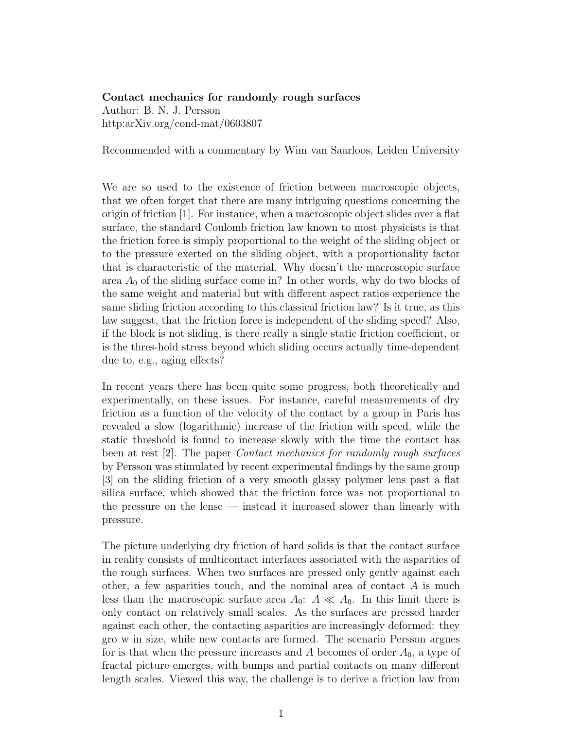## Contact mechanics for randomly rough surfaces

Author: B. N. J. Persson http:arXiv.org/cond-mat/0603807

Recommended with a commentary by Wim van Saarloos, Leiden University

We are so used to the existence of friction between macroscopic objects, that we often forget that there are many intriguing questions concerning the origin of friction [1]. For instance, when a macroscopic object slides over a flat surface, the standard Coulomb friction law known to most physicists is that the friction force is simply proportional to the weight of the sliding object or to the pressure exerted on the sliding object, with a proportionality factor that is characteristic of the material. Why doesn't the macroscopic surface area  $A_0$  of the sliding surface come in? In other words, why do two blocks of the same weight and material but with different aspect ratios experience the same sliding friction according to this classical friction law? Is it true, as this law suggest, that the friction force is independent of the sliding speed? Also, if the block is not sliding, is there really a single static friction coefficient, or is the thres-hold stress beyond which sliding occurs actually time-dependent due to, e.g., aging effects?

In recent years there has been quite some progress, both theoretically and experimentally, on these issues. For instance, careful measurements of dry friction as a function of the velocity of the contact by a group in Paris has revealed a slow (logarithmic) increase of the friction with speed, while the static threshold is found to increase slowly with the time the contact has been at rest [2]. The paper Contact mechanics for randomly rough surfaces by Persson was stimulated by recent experimental findings by the same group [3] on the sliding friction of a very smooth glassy polymer lens past a flat silica surface, which showed that the friction force was not proportional to the pressure on the lense — instead it increased slower than linearly with pressure.

The picture underlying dry friction of hard solids is that the contact surface in reality consists of multicontact interfaces associated with the asparities of the rough surfaces. When two surfaces are pressed only gently against each other, a few asparities touch, and the nominal area of contact  $A$  is much less than the macroscopic surface area  $A_0$ :  $A \ll A_0$ . In this limit there is only contact on relatively small scales. As the surfaces are pressed harder against each other, the contacting asparities are increasingly deformed: they gro w in size, while new contacts are formed. The scenario Persson argues for is that when the pressure increases and A becomes of order  $A_0$ , a type of fractal picture emerges, with bumps and partial contacts on many different length scales. Viewed this way, the challenge is to derive a friction law from